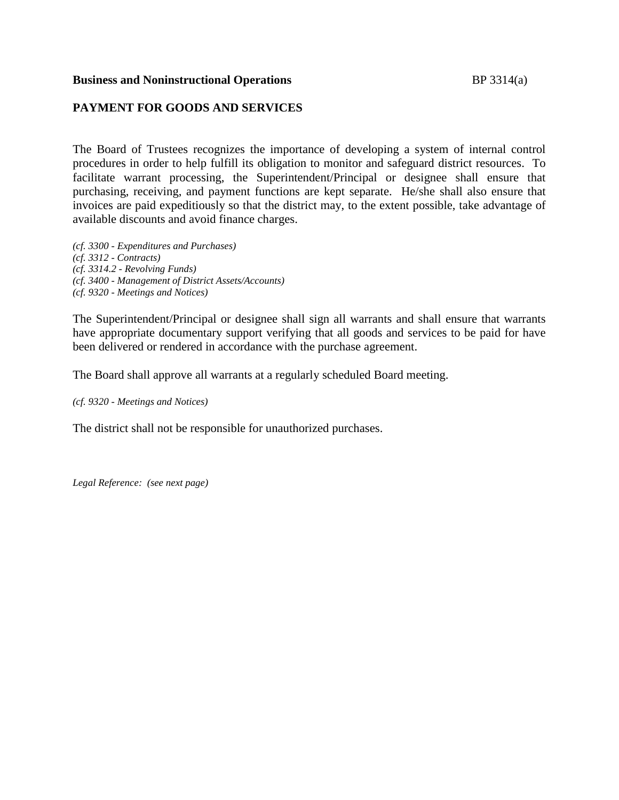#### **Business and Noninstructional Operations** BP 3314(a)

# **PAYMENT FOR GOODS AND SERVICES**

The Board of Trustees recognizes the importance of developing a system of internal control procedures in order to help fulfill its obligation to monitor and safeguard district resources. To facilitate warrant processing, the Superintendent/Principal or designee shall ensure that purchasing, receiving, and payment functions are kept separate. He/she shall also ensure that invoices are paid expeditiously so that the district may, to the extent possible, take advantage of available discounts and avoid finance charges.

*(cf. 3300 - Expenditures and Purchases) (cf. 3312 - Contracts) (cf. 3314.2 - Revolving Funds) (cf. 3400 - Management of District Assets/Accounts) (cf. 9320 - Meetings and Notices)*

The Superintendent/Principal or designee shall sign all warrants and shall ensure that warrants have appropriate documentary support verifying that all goods and services to be paid for have been delivered or rendered in accordance with the purchase agreement.

The Board shall approve all warrants at a regularly scheduled Board meeting.

*(cf. 9320 - Meetings and Notices)*

The district shall not be responsible for unauthorized purchases.

*Legal Reference: (see next page)*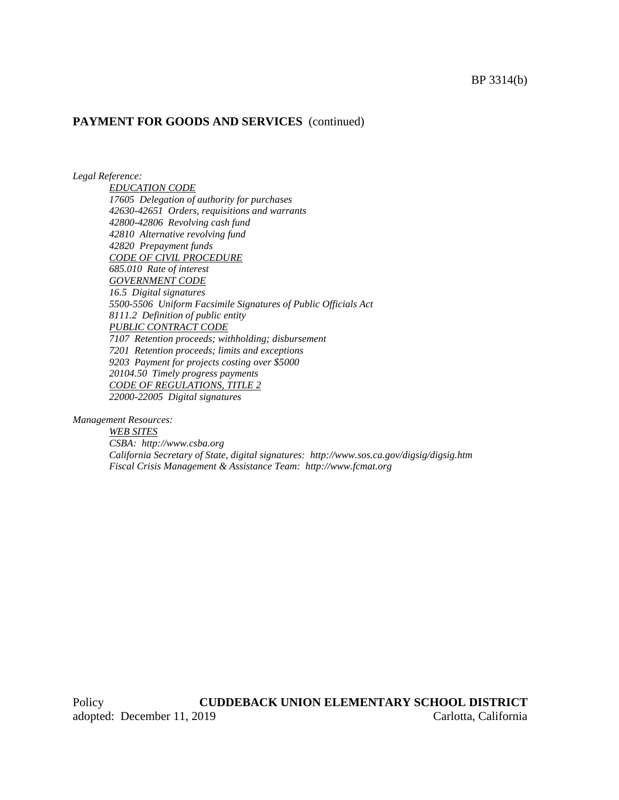#### **PAYMENT FOR GOODS AND SERVICES** (continued)

*Legal Reference:*

*EDUCATION CODE 17605 Delegation of authority for purchases 42630-42651 Orders, requisitions and warrants 42800-42806 Revolving cash fund 42810 Alternative revolving fund 42820 Prepayment funds CODE OF CIVIL PROCEDURE 685.010 Rate of interest GOVERNMENT CODE 16.5 Digital signatures 5500-5506 Uniform Facsimile Signatures of Public Officials Act 8111.2 Definition of public entity PUBLIC CONTRACT CODE 7107 Retention proceeds; withholding; disbursement 7201 Retention proceeds; limits and exceptions 9203 Payment for projects costing over \$5000 20104.50 Timely progress payments CODE OF REGULATIONS, TITLE 2 22000-22005 Digital signatures*

*Management Resources:*

*WEB SITES CSBA: http://www.csba.org California Secretary of State, digital signatures: http://www.sos.ca.gov/digsig/digsig.htm Fiscal Crisis Management & Assistance Team: http://www.fcmat.org*

Policy **CUDDEBACK UNION ELEMENTARY SCHOOL DISTRICT** adopted: December 11, 2019 Carlotta, California